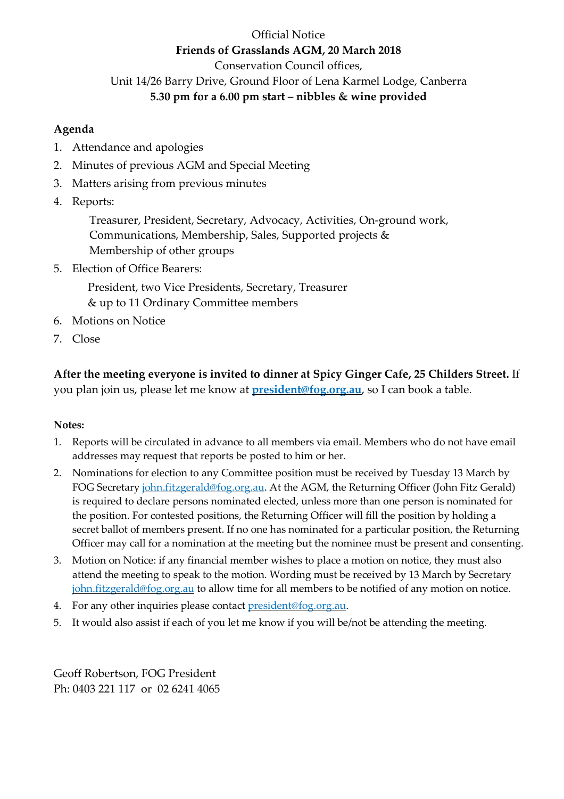### Official Notice **Friends of Grasslands AGM, 20 March 2018** Conservation Council offices, Unit 14/26 Barry Drive, Ground Floor of Lena Karmel Lodge, Canberra **5.30 pm for a 6.00 pm start – nibbles & wine provided**

#### **Agenda**

- 1. Attendance and apologies
- 2. Minutes of previous AGM and Special Meeting
- 3. Matters arising from previous minutes
- 4. Reports:

Treasurer, President, Secretary, Advocacy, Activities, On-ground work, Communications, Membership, Sales, Supported projects & Membership of other groups

5. Election of Office Bearers:

President, two Vice Presidents, Secretary, Treasurer & up to 11 Ordinary Committee members

- 6. Motions on Notice
- 7. Close

**After the meeting everyone is invited to dinner at Spicy Ginger Cafe, 25 Childers Street.** If you plan join us, please let me know at **[president@fog.org.au](mailto:president@fog.org.au)**, so I can book a table.

#### **Notes:**

- 1. Reports will be circulated in advance to all members via email. Members who do not have email addresses may request that reports be posted to him or her.
- 2. Nominations for election to any Committee position must be received by Tuesday 13 March by FOG Secretary [john.fitzgerald@fog.org.au.](mailto:john.fitzgerald@fog.org.au?subject=nomination%20for%20FOG%20committee) At the AGM, the Returning Officer (John Fitz Gerald) is required to declare persons nominated elected, unless more than one person is nominated for the position. For contested positions, the Returning Officer will fill the position by holding a secret ballot of members present. If no one has nominated for a particular position, the Returning Officer may call for a nomination at the meeting but the nominee must be present and consenting.
- 3. Motion on Notice: if any financial member wishes to place a motion on notice, they must also attend the meeting to speak to the motion. Wording must be received by 13 March by Secretary [john.fitzgerald@fog.org.au](mailto:john.fitzgerald@fog.org.au?subject=motion%20on%20notice%20for%20FOG%20agm) to allow time for all members to be notified of any motion on notice.
- 4. For any other inquiries please contact [president@fog.org.au.](mailto:president@fog.org.au)
- 5. It would also assist if each of you let me know if you will be/not be attending the meeting.

Geoff Robertson, FOG President Ph: 0403 221 117 or 02 6241 4065